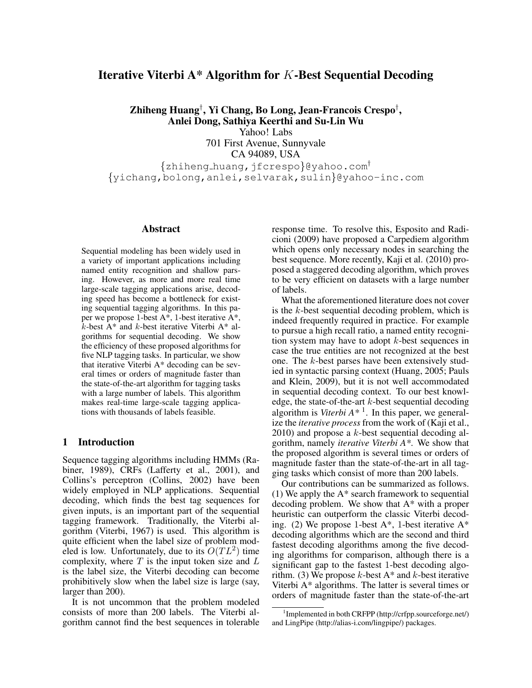# Iterative Viterbi A\* Algorithm for K-Best Sequential Decoding

Zhiheng Huang† , Yi Chang, Bo Long, Jean-Francois Crespo† , Anlei Dong, Sathiya Keerthi and Su-Lin Wu

Yahoo! Labs

701 First Avenue, Sunnyvale CA 94089, USA {zhiheng huang,jfcrespo}@yahoo.com†

{yichang,bolong,anlei,selvarak,sulin}@yahoo-inc.com

#### Abstract

Sequential modeling has been widely used in a variety of important applications including named entity recognition and shallow parsing. However, as more and more real time large-scale tagging applications arise, decoding speed has become a bottleneck for existing sequential tagging algorithms. In this paper we propose 1-best A\*, 1-best iterative A\*,  $k$ -best A\* and  $k$ -best iterative Viterbi A\* algorithms for sequential decoding. We show the efficiency of these proposed algorithms for five NLP tagging tasks. In particular, we show that iterative Viterbi A\* decoding can be several times or orders of magnitude faster than the state-of-the-art algorithm for tagging tasks with a large number of labels. This algorithm makes real-time large-scale tagging applications with thousands of labels feasible.

### 1 Introduction

Sequence tagging algorithms including HMMs (Rabiner, 1989), CRFs (Lafferty et al., 2001), and Collins's perceptron (Collins, 2002) have been widely employed in NLP applications. Sequential decoding, which finds the best tag sequences for given inputs, is an important part of the sequential tagging framework. Traditionally, the Viterbi algorithm (Viterbi, 1967) is used. This algorithm is quite efficient when the label size of problem modeled is low. Unfortunately, due to its  $O(TL^2)$  time complexity, where  $T$  is the input token size and  $L$ is the label size, the Viterbi decoding can become prohibitively slow when the label size is large (say, larger than 200).

It is not uncommon that the problem modeled consists of more than 200 labels. The Viterbi algorithm cannot find the best sequences in tolerable response time. To resolve this, Esposito and Radicioni (2009) have proposed a Carpediem algorithm which opens only necessary nodes in searching the best sequence. More recently, Kaji et al. (2010) proposed a staggered decoding algorithm, which proves to be very efficient on datasets with a large number of labels.

What the aforementioned literature does not cover is the  $k$ -best sequential decoding problem, which is indeed frequently required in practice. For example to pursue a high recall ratio, a named entity recognition system may have to adopt k-best sequences in case the true entities are not recognized at the best one. The k-best parses have been extensively studied in syntactic parsing context (Huang, 2005; Pauls and Klein, 2009), but it is not well accommodated in sequential decoding context. To our best knowledge, the state-of-the-art  $k$ -best sequential decoding algorithm is *Viterbi A\** <sup>1</sup> . In this paper, we generalize the *iterative process* from the work of (Kaji et al.,  $2010$ ) and propose a k-best sequential decoding algorithm, namely *iterative Viterbi A\**. We show that the proposed algorithm is several times or orders of magnitude faster than the state-of-the-art in all tagging tasks which consist of more than 200 labels.

Our contributions can be summarized as follows. (1) We apply the  $A^*$  search framework to sequential decoding problem. We show that A\* with a proper heuristic can outperform the classic Viterbi decoding. (2) We propose 1-best  $A^*$ , 1-best iterative  $A^*$ decoding algorithms which are the second and third fastest decoding algorithms among the five decoding algorithms for comparison, although there is a significant gap to the fastest 1-best decoding algorithm. (3) We propose  $k$ -best A<sup>\*</sup> and  $k$ -best iterative Viterbi A\* algorithms. The latter is several times or orders of magnitude faster than the state-of-the-art

<sup>1</sup> Implemented in both CRFPP (http://crfpp.sourceforge.net/) and LingPipe (http://alias-i.com/lingpipe/) packages.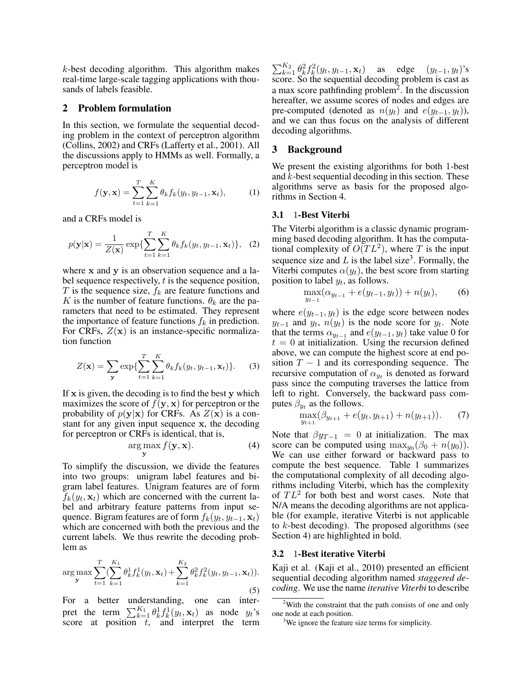$k$ -best decoding algorithm. This algorithm makes real-time large-scale tagging applications with thousands of labels feasible.

#### 2 Problem formulation

In this section, we formulate the sequential decoding problem in the context of perceptron algorithm (Collins, 2002) and CRFs (Lafferty et al., 2001). All the discussions apply to HMMs as well. Formally, a perceptron model is

$$
f(\mathbf{y}, \mathbf{x}) = \sum_{t=1}^{T} \sum_{k=1}^{K} \theta_k f_k(y_t, y_{t-1}, \mathbf{x}_t),
$$
 (1)

and a CRFs model is

$$
p(\mathbf{y}|\mathbf{x}) = \frac{1}{Z(\mathbf{x})} \exp\{\sum_{t=1}^{T} \sum_{k=1}^{K} \theta_k f_k(y_t, y_{t-1}, \mathbf{x}_t)\}, \quad (2)
$$

where x and y is an observation sequence and a label sequence respectively, t is the sequence position, T is the sequence size,  $f_k$  are feature functions and K is the number of feature functions.  $\theta_k$  are the parameters that need to be estimated. They represent the importance of feature functions  $f_k$  in prediction. For CRFs,  $Z(\mathbf{x})$  is an instance-specific normalization function

$$
Z(\mathbf{x}) = \sum_{\mathbf{y}} \exp\{\sum_{t=1}^{T} \sum_{k=1}^{K} \theta_k f_k(y_t, y_{t-1}, \mathbf{x}_t)\}.
$$
 (3)

If  $x$  is given, the decoding is to find the best  $y$  which maximizes the score of  $f(\mathbf{y}, \mathbf{x})$  for perceptron or the probability of  $p(y|x)$  for CRFs. As  $Z(x)$  is a constant for any given input sequence x, the decoding for perceptron or CRFs is identical, that is,

$$
\underset{\mathbf{y}}{\arg\max} f(\mathbf{y}, \mathbf{x}).\tag{4}
$$

To simplify the discussion, we divide the features into two groups: unigram label features and bigram label features. Unigram features are of form  $f_k(y_t, \mathbf{x}_t)$  which are concerned with the current label and arbitrary feature patterns from input sequence. Bigram features are of form  $f_k(y_t, y_{t-1}, \mathbf{x}_t)$ which are concerned with both the previous and the current labels. We thus rewrite the decoding problem as

$$
\arg\max_{\mathbf{y}} \sum_{t=1}^{T} \left( \sum_{k=1}^{K_1} \theta_k^1 f_k^1(y_t, \mathbf{x}_t) + \sum_{k=1}^{K_2} \theta_k^2 f_k^2(y_t, y_{t-1}, \mathbf{x}_t) \right).
$$
\n(5)

For a better understanding, one can interpret the term  $\sum_{k=1}^{K_1} \theta_k^1 f_k^1(y_t, \mathbf{x}_t)$  as node  $y_t$ 's score at position  $\bar{t}$ , and interpret the term

 $\sum_{k=1}^{K_2} \theta_k^2 f_k^2(y_t, y_{t-1}, \mathbf{x}_t)$  as edge  $(y_{t-1}, y_t)$ 's score. So the sequential decoding problem is cast as a max score pathfinding problem<sup>2</sup>. In the discussion hereafter, we assume scores of nodes and edges are pre-computed (denoted as  $n(y_t)$  and  $e(y_{t-1}, y_t)$ ), and we can thus focus on the analysis of different decoding algorithms.

### 3 Background

We present the existing algorithms for both 1-best and  $k$ -best sequential decoding in this section. These algorithms serve as basis for the proposed algorithms in Section 4.

#### 3.1 1-Best Viterbi

The Viterbi algorithm is a classic dynamic programming based decoding algorithm. It has the computational complexity of  $\tilde{O}(TL^2)$ , where T is the input sequence size and  $L$  is the label size<sup>3</sup>. Formally, the Viterbi computes  $\alpha(y_t)$ , the best score from starting position to label  $y_t$ , as follows.

$$
\max_{y_{t-1}} (\alpha_{y_{t-1}} + e(y_{t-1}, y_t)) + n(y_t), \qquad (6)
$$

where  $e(y_{t-1}, y_t)$  is the edge score between nodes  $y_{t-1}$  and  $y_t$ ,  $n(y_t)$  is the node score for  $y_t$ . Note that the terms  $\alpha_{y_{t-1}}$  and  $e(y_{t-1}, y_t)$  take value 0 for  $t = 0$  at initialization. Using the recursion defined above, we can compute the highest score at end position  $T - 1$  and its corresponding sequence. The recursive computation of  $\alpha_{y_t}$  is denoted as forward pass since the computing traverses the lattice from left to right. Conversely, the backward pass computes  $\beta_{y_t}$  as the follows.

$$
\max_{y_{t+1}} (\beta_{y_{t+1}} + e(y_t, y_{t+1}) + n(y_{t+1})).
$$
 (7)

Note that  $\beta y_{T-1} = 0$  at initialization. The max score can be computed using  $\max_{y_0} (\beta_0 + n(y_0)).$ We can use either forward or backward pass to compute the best sequence. Table 1 summarizes the computational complexity of all decoding algorithms including Viterbi, which has the complexity of  $TL^2$  for both best and worst cases. Note that N/A means the decoding algorithms are not applicable (for example, iterative Viterbi is not applicable to  $k$ -best decoding). The proposed algorithms (see Section 4) are highlighted in bold.

#### 3.2 1-Best iterative Viterbi

Kaji et al. (Kaji et al., 2010) presented an efficient sequential decoding algorithm named *staggered decoding*. We use the name *iterative Viterbi* to describe

 $2$ With the constraint that the path consists of one and only one node at each position.

<sup>&</sup>lt;sup>3</sup>We ignore the feature size terms for simplicity.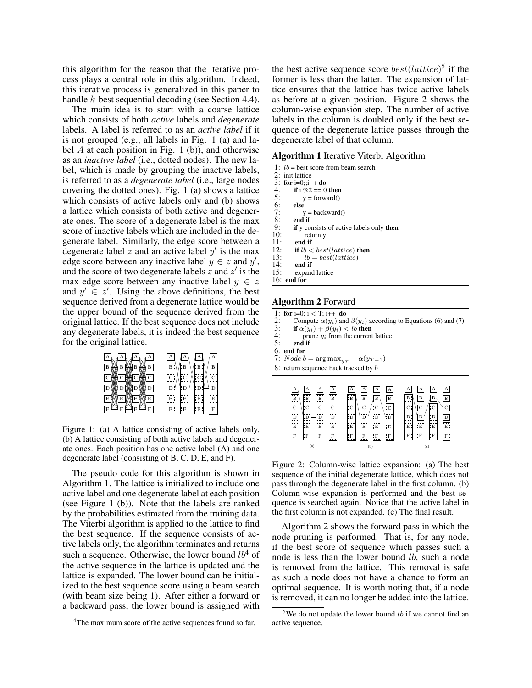this algorithm for the reason that the iterative process plays a central role in this algorithm. Indeed, this iterative process is generalized in this paper to handle k-best sequential decoding (see Section 4.4).

The main idea is to start with a coarse lattice which consists of both *active* labels and *degenerate* labels. A label is referred to as an *active label* if it is not grouped (e.g., all labels in Fig. 1 (a) and label  $A$  at each position in Fig. 1 (b)), and otherwise as an *inactive label* (i.e., dotted nodes). The new label, which is made by grouping the inactive labels, is referred to as a *degenerate label* (i.e., large nodes covering the dotted ones). Fig. 1 (a) shows a lattice which consists of active labels only and (b) shows a lattice which consists of both active and degenerate ones. The score of a degenerate label is the max score of inactive labels which are included in the degenerate label. Similarly, the edge score between a degenerate label z and an active label  $y'$  is the max edge score between any inactive label  $y \in z$  and  $y'$ , and the score of two degenerate labels  $\ddot{z}$  and  $z'$  is the max edge score between any inactive label  $y \in z$ and  $y' \in z'$ . Using the above definitions, the best sequence derived from a degenerate lattice would be the upper bound of the sequence derived from the original lattice. If the best sequence does not include any degenerate labels, it is indeed the best sequence for the original lattice.



Figure 1: (a) A lattice consisting of active labels only. (b) A lattice consisting of both active labels and degenerate ones. Each position has one active label (A) and one degenerate label (consisting of B, C. D, E, and F).

The pseudo code for this algorithm is shown in Algorithm 1. The lattice is initialized to include one active label and one degenerate label at each position (see Figure 1 (b)). Note that the labels are ranked by the probabilities estimated from the training data. The Viterbi algorithm is applied to the lattice to find the best sequence. If the sequence consists of active labels only, the algorithm terminates and returns such a sequence. Otherwise, the lower bound  $lb^4$  of the active sequence in the lattice is updated and the lattice is expanded. The lower bound can be initialized to the best sequence score using a beam search (with beam size being 1). After either a forward or a backward pass, the lower bound is assigned with

the best active sequence score  $best(lattice)^5$  if the former is less than the latter. The expansion of lattice ensures that the lattice has twice active labels as before at a given position. Figure 2 shows the column-wise expansion step. The number of active labels in the column is doubled only if the best sequence of the degenerate lattice passes through the degenerate label of that column.

| <b>Algorithm 1 Iterative Viterbi Algorithm</b> |  |
|------------------------------------------------|--|
| $1: lb =$ hest score from heam search          |  |

|     | 2: init lattice                                        |
|-----|--------------------------------------------------------|
|     | 3: for $i=0$ ;; $i++$ do                               |
| 4:  | if i $\%2 == 0$ then                                   |
| 5:  | $y = forward()$                                        |
| 6:  | else                                                   |
| 7:  | $y = \text{backward}()$                                |
| 8:  | end if                                                 |
| 9:  | <b>if</b> y consists of active labels only <b>then</b> |
| 10: | return y                                               |
| 11: | end if                                                 |
| 12: | if $lb < best(lattice)$ then                           |
| 13: | $lb = best(lattice)$                                   |
| 14: | end if                                                 |
| 15: | expand lattice                                         |
|     | $16:$ end for                                          |
|     |                                                        |

### Algorithm 2 Forward

1: for i=0; i < T; i++ do<br>2: Compute  $\alpha(u_i)$  and

- 2: Compute  $\alpha(y_i)$  and  $\beta(y_i)$  according to Equations (6) and (7)<br>3: **if**  $\alpha(y_i) + \beta(y_i) < lb$  then
- 3: if  $\alpha(y_i) + \tilde{\beta}(y_i) < lb$  then<br>4: prime  $y_i$  from the current
- 4: prune  $y_i$  from the current lattice<br>5: end if end if
- 6: end for
- 7: Node  $b = \arg \max_{y_{T-1}} \alpha(y_{T-1})$
- 8: return sequence back tracked by b

| $\overline{A}$<br>А<br>А<br>А<br>$\sqrt{B}$<br>---<br>B<br>B<br>В<br>---<br>1.<br>---<br>r.<br>$- - -$<br>---<br>---<br>$- - -$<br>. C "<br>ĮÇ.<br>C<br>11<br>$- - -$<br>$\left[\begin{smallmatrix}\bar{\mathbf{D}}\end{smallmatrix}\right]$<br>- - -<br>---<br>---<br>D<br>D<br>D<br>1.<br>1. <i>.</i><br>$- - -$<br>$- - -$<br>$\sim$ $-$<br>- - -<br>---<br>[Ē]<br>E<br>E<br>E<br>---<br>---<br>---<br>$- - -$<br>---<br>- -<br>۰<br>$- - -$<br>¦F<br>F<br>F<br>$F$ :<br>---<br>---<br>1. | А<br>  A<br>A<br>$\overline{A}$<br>---<br>¦B<br>B<br>$\overline{B}$<br>B<br>---<br>ה<br>יח<br>'cī<br>ič.<br>$- - -$<br>$\cdots$<br>---<br>$- - -$<br>$- - -$<br>$1 - - -$<br>---<br>$- - -$<br>D'<br>¦D¦<br>D<br>D<br>- - -<br>---<br>---<br>---<br>---<br>$ -$<br>$- - -$<br>---<br>Е<br>E<br>E<br>E<br>---<br>---<br>1. <i>.</i><br>- - -<br>$- - -$<br>$- - -$<br>$- - -$<br>$- - -$<br>F<br>F<br>F<br>l: F<br>$\blacksquare$<br>حفته<br>1.<br>د د ما<br>$- - -$ | А<br>А<br>A<br>A<br>$\overline{B}$<br>$\overline{B}$<br>B<br>$\overline{B}$<br>1.<br>ici<br>---<br>$\overline{\text{C}}$<br>$\mathsf{C}$<br>ŀС<br>22 S<br>---<br>---<br>---<br>$\mathbf D$<br>D<br>D,<br>D<br>- - -<br>.<br>Ë.<br>Ē<br>$- - -$<br>---<br>E<br>Е<br>- - -<br>r.<br>$\cdots$<br>$- - -$<br>$- - -$<br>$- -$<br>$- - -$<br>¦F<br>F<br>F<br>F<br>1. <i>.</i><br>$- - -$<br>---<br>--- |
|----------------------------------------------------------------------------------------------------------------------------------------------------------------------------------------------------------------------------------------------------------------------------------------------------------------------------------------------------------------------------------------------------------------------------------------------------------------------------------------------|---------------------------------------------------------------------------------------------------------------------------------------------------------------------------------------------------------------------------------------------------------------------------------------------------------------------------------------------------------------------------------------------------------------------------------------------------------------------|---------------------------------------------------------------------------------------------------------------------------------------------------------------------------------------------------------------------------------------------------------------------------------------------------------------------------------------------------------------------------------------------------|
| (a)                                                                                                                                                                                                                                                                                                                                                                                                                                                                                          | (b)                                                                                                                                                                                                                                                                                                                                                                                                                                                                 | (c)                                                                                                                                                                                                                                                                                                                                                                                               |

Figure 2: Column-wise lattice expansion: (a) The best sequence of the initial degenerate lattice, which does not pass through the degenerate label in the first column. (b) Column-wise expansion is performed and the best sequence is searched again. Notice that the active label in the first column is not expanded. (c) The final result.

Algorithm 2 shows the forward pass in which the node pruning is performed. That is, for any node, if the best score of sequence which passes such a node is less than the lower bound *lb*, such a node is removed from the lattice. This removal is safe as such a node does not have a chance to form an optimal sequence. It is worth noting that, if a node is removed, it can no longer be added into the lattice.

<sup>&</sup>lt;sup>4</sup>The maximum score of the active sequences found so far.

<sup>&</sup>lt;sup>5</sup>We do not update the lower bound  $lb$  if we cannot find an active sequence.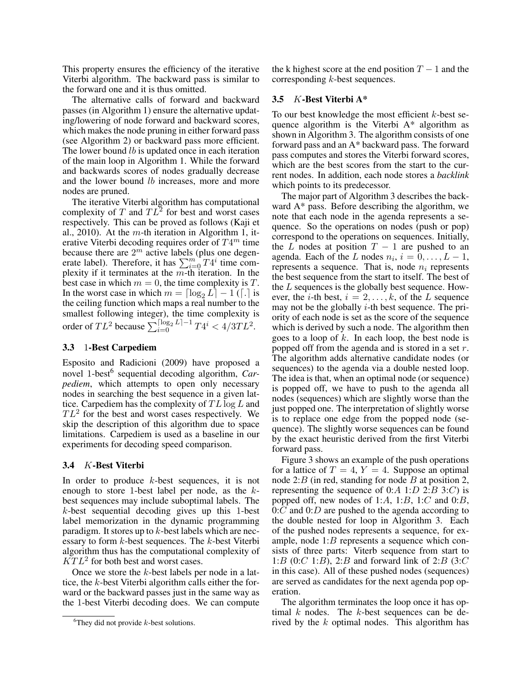This property ensures the efficiency of the iterative Viterbi algorithm. The backward pass is similar to the forward one and it is thus omitted.

The alternative calls of forward and backward passes (in Algorithm 1) ensure the alternative updating/lowering of node forward and backward scores, which makes the node pruning in either forward pass (see Algorithm 2) or backward pass more efficient. The lower bound *lb* is updated once in each iteration of the main loop in Algorithm 1. While the forward and backwards scores of nodes gradually decrease and the lower bound *lb* increases, more and more nodes are pruned.

The iterative Viterbi algorithm has computational complexity of T and  $TL^2$  for best and worst cases respectively. This can be proved as follows (Kaji et al., 2010). At the m-th iteration in Algorithm 1, iterative Viterbi decoding requires order of  $T4^m$  time because there are  $2^m$  active labels (plus one degenerate label). Therefore, it has  $\sum_{i=0}^{m} T4^i$  time complexity if it terminates at the  $m$ -th iteration. In the best case in which  $m = 0$ , the time complexity is T. In the worst case in which  $m = \lceil \log_2 L \rceil - 1$  ( $\lceil . \rceil$  is the ceiling function which maps a real number to the smallest following integer), the time complexity is order of  $TL^2$  because  $\sum_{i=0}^{\lceil \log_2 L \rceil - 1} T4^i < 4/3TL^2$ .

#### 3.3 1-Best Carpediem

Esposito and Radicioni (2009) have proposed a novel 1-best<sup>6</sup> sequential decoding algorithm, Car*pediem*, which attempts to open only necessary nodes in searching the best sequence in a given lattice. Carpediem has the complexity of  $TL \log L$  and  $TL^2$  for the best and worst cases respectively. We skip the description of this algorithm due to space limitations. Carpediem is used as a baseline in our experiments for decoding speed comparison.

#### 3.4 K-Best Viterbi

In order to produce k-best sequences, it is not enough to store 1-best label per node, as the  $k$ best sequences may include suboptimal labels. The k-best sequential decoding gives up this 1-best label memorization in the dynamic programming paradigm. It stores up to  $k$ -best labels which are necessary to form  $k$ -best sequences. The  $k$ -best Viterbi algorithm thus has the computational complexity of  $\overline{KT}L^2$  for both best and worst cases.

Once we store the  $k$ -best labels per node in a lattice, the k-best Viterbi algorithm calls either the forward or the backward passes just in the same way as the 1-best Viterbi decoding does. We can compute the k highest score at the end position  $T - 1$  and the corresponding  $k$ -best sequences.

### 3.5 K-Best Viterbi A\*

To our best knowledge the most efficient  $k$ -best sequence algorithm is the Viterbi A\* algorithm as shown in Algorithm 3. The algorithm consists of one forward pass and an A\* backward pass. The forward pass computes and stores the Viterbi forward scores, which are the best scores from the start to the current nodes. In addition, each node stores a *backlink* which points to its predecessor.

The major part of Algorithm 3 describes the backward A\* pass. Before describing the algorithm, we note that each node in the agenda represents a sequence. So the operations on nodes (push or pop) correspond to the operations on sequences. Initially, the L nodes at position  $T - 1$  are pushed to an agenda. Each of the L nodes  $n_i$ ,  $i = 0, \ldots, L - 1$ , represents a sequence. That is, node  $n_i$  represents the best sequence from the start to itself. The best of the L sequences is the globally best sequence. However, the *i*-th best,  $i = 2, \ldots, k$ , of the L sequence may not be the globally  $i$ -th best sequence. The priority of each node is set as the score of the sequence which is derived by such a node. The algorithm then goes to a loop of  $k$ . In each loop, the best node is popped off from the agenda and is stored in a set  $r$ . The algorithm adds alternative candidate nodes (or sequences) to the agenda via a double nested loop. The idea is that, when an optimal node (or sequence) is popped off, we have to push to the agenda all nodes (sequences) which are slightly worse than the just popped one. The interpretation of slightly worse is to replace one edge from the popped node (sequence). The slightly worse sequences can be found by the exact heuristic derived from the first Viterbi forward pass.

Figure 3 shows an example of the push operations for a lattice of  $T = 4$ ,  $Y = 4$ . Suppose an optimal node 2: $B$  (in red, standing for node  $B$  at position 2, representing the sequence of 0:A 1:D 2:B 3:C) is popped off, new nodes of 1:A, 1:B, 1:C and  $0:B$ ,  $0:C$  and  $0:D$  are pushed to the agenda according to the double nested for loop in Algorithm 3. Each of the pushed nodes represents a sequence, for example, node 1:B represents a sequence which consists of three parts: Viterb sequence from start to 1:B (0:C 1:B), 2:B and forward link of 2:B (3:C in this case). All of these pushed nodes (sequences) are served as candidates for the next agenda pop operation.

The algorithm terminates the loop once it has optimal  $k$  nodes. The  $k$ -best sequences can be derived by the  $k$  optimal nodes. This algorithm has

<sup>&</sup>lt;sup>6</sup>They did not provide  $k$ -best solutions.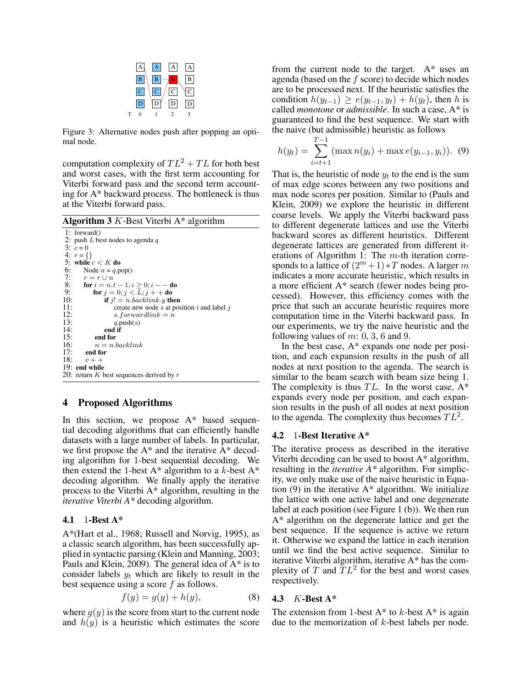

Figure 3: Alternative nodes push after popping an optimal node.

computation complexity of  $TL^2 + TL$  for both best and worst cases, with the first term accounting for Viterbi forward pass and the second term accounting for A\* backward process. The bottleneck is thus at the Viterbi forward pass.

**Algorithm 3** K-Best Viterbi  $A^*$  algorithm

```
1: forward()
2: push L best nodes to agenda q3: c = 04: r = \{\}5: while c < K do<br>6: Node n = q.p
6: Node n = q.pop()<br>7: r = r \cup n7: r = r \cup n<br>8: for i = n.
8: for i = n.t - 1; i \ge 0; i - - do<br>9: for i = 0; i < L; i + + do
9: for j = 0; j < L; j + + do<br>10: if j! = n. backlink. y the
10: if j! = n \cdot backlink \cdot y then<br>11: create new node s at pos
11: create new node s at position i and label j<br>12: s forwardlink = n
12: s.forwardlink = n<br>13: q.push(s)13: q.\text{push}(s)<br>14: end if
14: end if<br>15: end for
15: end for<br>16: n = n.
16: n = n.backlink<br>17: end for
17: end for<br>18: c++c + +19: end while
20: return K best sequences derived by r
```
#### 4 Proposed Algorithms

In this section, we propose A\* based sequential decoding algorithms that can efficiently handle datasets with a large number of labels. In particular, we first propose the A\* and the iterative A\* decoding algorithm for 1-best sequential decoding. We then extend the 1-best  $A^*$  algorithm to a k-best  $A^*$ decoding algorithm. We finally apply the iterative process to the Viterbi A\* algorithm, resulting in the *iterative Viterbi A\** decoding algorithm.

#### 4.1 1-Best A\*

A\*(Hart et al., 1968; Russell and Norvig, 1995), as a classic search algorithm, has been successfully applied in syntactic parsing (Klein and Manning, 2003; Pauls and Klein, 2009). The general idea of A\* is to consider labels  $y_t$  which are likely to result in the best sequence using a score f as follows.

$$
f(y) = g(y) + h(y),\tag{8}
$$

where  $q(y)$  is the score from start to the current node and  $h(y)$  is a heuristic which estimates the score from the current node to the target. A\* uses an agenda (based on the  $f$  score) to decide which nodes are to be processed next. If the heuristic satisfies the condition  $h(y_{t-1}) \ge e(y_{t-1}, y_t) + h(y_t)$ , then h is called *monotone* or *admissible*. In such a case, A\* is guaranteed to find the best sequence. We start with the naive (but admissible) heuristic as follows

$$
h(y_t) = \sum_{i=t+1}^{T-1} (\max n(y_i) + \max e(y_{i-1}, y_i)). \tag{9}
$$

That is, the heuristic of node  $y_t$  to the end is the sum of max edge scores between any two positions and max node scores per position. Similar to (Pauls and Klein, 2009) we explore the heuristic in different coarse levels. We apply the Viterbi backward pass to different degenerate lattices and use the Viterbi backward scores as different heuristics. Different degenerate lattices are generated from different iterations of Algorithm 1: The  $m$ -th iteration corresponds to a lattice of  $(2<sup>m</sup>+1)*T$  nodes. A larger m indicates a more accurate heuristic, which results in a more efficient A\* search (fewer nodes being processed). However, this efficiency comes with the price that such an accurate heuristic requires more computation time in the Viterbi backward pass. In our experiments, we try the naive heuristic and the following values of  $m: 0, 3, 6$  and 9.

In the best case,  $A^*$  expands one node per position, and each expansion results in the push of all nodes at next position to the agenda. The search is similar to the beam search with beam size being 1. The complexity is thus  $TL$ . In the worst case,  $A^*$ expands every node per position, and each expansion results in the push of all nodes at next position to the agenda. The complexity thus becomes  $TL^2$ .

#### 4.2 1-Best Iterative A\*

The iterative process as described in the iterative Viterbi decoding can be used to boost A\* algorithm, resulting in the *iterative A\** algorithm. For simplicity, we only make use of the naive heuristic in Equation  $(9)$  in the iterative  $A^*$  algorithm. We initialize the lattice with one active label and one degenerate label at each position (see Figure 1 (b)). We then run A\* algorithm on the degenerate lattice and get the best sequence. If the sequence is active we return it. Otherwise we expand the lattice in each iteration until we find the best active sequence. Similar to iterative Viterbi algorithm, iterative A\* has the complexity of T and  $TL^2$  for the best and worst cases respectively.

#### 4.3 K-Best A\*

The extension from 1-best  $A^*$  to k-best  $A^*$  is again due to the memorization of  $k$ -best labels per node.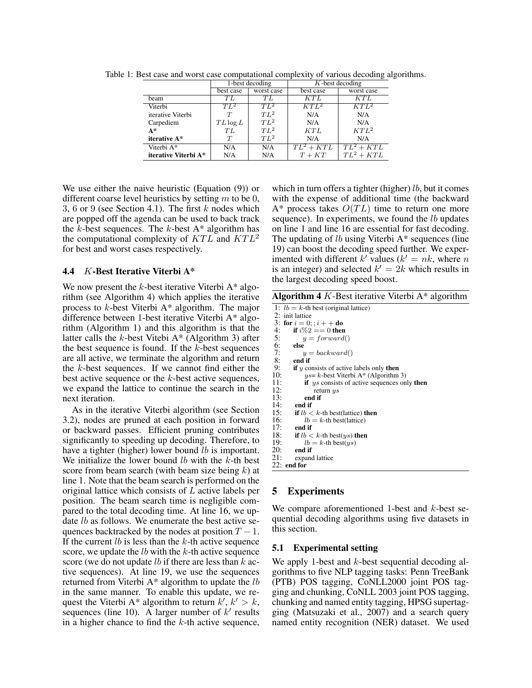|                      |             | 1-best decoding | $K$ -best decoding |              |  |
|----------------------|-------------|-----------------|--------------------|--------------|--|
|                      | best case   | worst case      | best case          | worst case   |  |
| beam                 | ŦL          | TΙ              | $\overline{KTL}$   | KT L         |  |
| Viterbi              | $TL^2$      | $TL^2$          | $KTL^2$            | $KTL^2$      |  |
| iterative Viterbi    | T           | $TL^2$          | N/A                | N/A          |  |
| Carpediem            | $TL \log L$ | $TL^2$          | N/A                | N/A          |  |
| $A^*$                | TL          | $TL^2$          | KTL                | $KTL^2$      |  |
| iterative A*         | T           | $TL^2$          | N/A                | N/A          |  |
| Viterbi A*           | N/A         | N/A             | $TL^2 + KTL$       | $TL^2 + KTL$ |  |
| iterative Viterbi A* | N/A         | N/A             | $T+KT$             | $TL^2 + KTL$ |  |

Table 1: Best case and worst case computational complexity of various decoding algorithms.

We use either the naive heuristic (Equation (9)) or different coarse level heuristics by setting  $m$  to be 0, 3, 6 or 9 (see Section 4.1). The first  $k$  nodes which are popped off the agenda can be used to back track the  $\overline{k}$ -best sequences. The  $k$ -best A\* algorithm has the computational complexity of  $KTL$  and  $KTL^2$ for best and worst cases respectively.

# 4.4 K-Best Iterative Viterbi A\*

We now present the  $k$ -best iterative Viterbi  $A^*$  algorithm (see Algorithm 4) which applies the iterative process to k-best Viterbi A\* algorithm. The major difference between 1-best iterative Viterbi A\* algorithm (Algorithm 1) and this algorithm is that the latter calls the  $k$ -best Vitebi A\* (Algorithm 3) after the best sequence is found. If the  $k$ -best sequences are all active, we terminate the algorithm and return the  $k$ -best sequences. If we cannot find either the best active sequence or the k-best active sequences, we expand the lattice to continue the search in the next iteration.

As in the iterative Viterbi algorithm (see Section 3.2), nodes are pruned at each position in forward or backward passes. Efficient pruning contributes significantly to speeding up decoding. Therefore, to have a tighter (higher) lower bound *lb* is important. We initialize the lower bound  $lb$  with the  $k$ -th best score from beam search (with beam size being  $k$ ) at line 1. Note that the beam search is performed on the original lattice which consists of L active labels per position. The beam search time is negligible compared to the total decoding time. At line 16, we update *lb* as follows. We enumerate the best active sequences backtracked by the nodes at position  $T - 1$ . If the current  $lb$  is less than the  $k$ -th active sequence score, we update the  $lb$  with the  $k$ -th active sequence score (we do not update *lb* if there are less than  $k$  active sequences). At line 19, we use the sequences returned from Viterbi A\* algorithm to update the lb in the same manner. To enable this update, we request the Viterbi A\* algorithm to return  $k', k' > k$ , sequences (line 10). A larger number of  $k'$  results in a higher chance to find the  $k$ -th active sequence,

which in turn offers a tighter (higher)  $lb$ , but it comes with the expense of additional time (the backward  $A^*$  process takes  $O(TL)$  time to return one more sequence). In experiments, we found the *lb* updates on line 1 and line 16 are essential for fast decoding. The updating of  $lb$  using Viterbi  $A^*$  sequences (line 19) can boost the decoding speed further. We experimented with different k' values ( $k' = nk$ , where n is an integer) and selected  $k' = 2k$  which results in the largest decoding speed boost.

Algorithm 4  $K$ -Best iterative Viterbi A\* algorithm

| 1: $lb = k$ -th best (original lattice)                        |  |
|----------------------------------------------------------------|--|
| 2: init lattice                                                |  |
| 3: for $i = 0$ ; ; $i + +$ do                                  |  |
| 4:<br>if $i\%2 == 0$ then                                      |  |
| 5:<br>$y = forward()$                                          |  |
| 6:<br>else                                                     |  |
| 7:<br>$y = backward()$                                         |  |
| 8:<br>end if                                                   |  |
| 9:<br><b>if</b> $y$ consists of active labels only <b>then</b> |  |
| 10:<br>$ys = k$ -best Viterbi A* (Algorithm 3)                 |  |
| 11:<br><b>if</b> ys consists of active sequences only then     |  |
| 12:<br>return $ys$                                             |  |
| 13:<br>end if                                                  |  |
| 14:<br>end if                                                  |  |
| 15:<br><b>if</b> $lb < k$ -th best(lattice) <b>then</b>        |  |
| 16:<br>$lb = k$ -th best(lattice)                              |  |
| 17:<br>end if                                                  |  |
| 18:<br>if $lb < k$ -th best $(ys)$ then                        |  |
| 19:<br>$lb = k$ -th best $(ys)$                                |  |
| 20:<br>end if                                                  |  |
| 21:<br>expand lattice                                          |  |
| $22:$ end for                                                  |  |
|                                                                |  |

### 5 Experiments

We compare aforementioned 1-best and k-best sequential decoding algorithms using five datasets in this section.

### 5.1 Experimental setting

We apply 1-best and k-best sequential decoding algorithms to five NLP tagging tasks: Penn TreeBank (PTB) POS tagging, CoNLL2000 joint POS tagging and chunking, CoNLL 2003 joint POS tagging, chunking and named entity tagging, HPSG supertagging (Matsuzaki et al., 2007) and a search query named entity recognition (NER) dataset. We used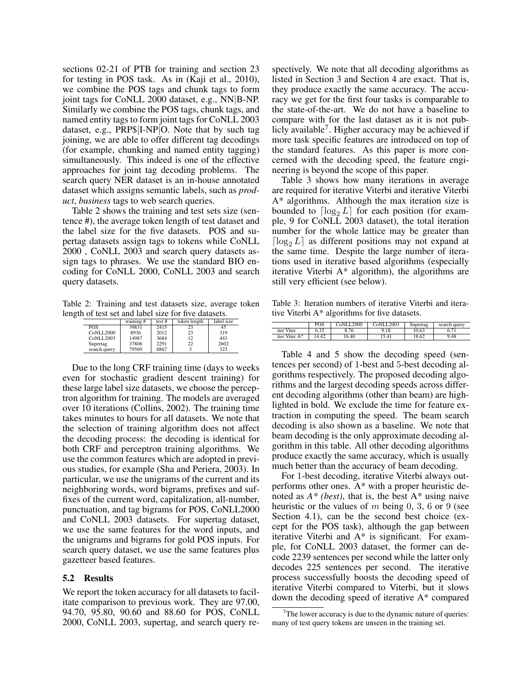sections 02-21 of PTB for training and section 23 for testing in POS task. As in (Kaji et al., 2010), we combine the POS tags and chunk tags to form joint tags for CoNLL 2000 dataset, e.g., NN|B-NP. Similarly we combine the POS tags, chunk tags, and named entity tags to form joint tags for CoNLL 2003 dataset, e.g., PRP\$|I-NP|O. Note that by such tag joining, we are able to offer different tag decodings (for example, chunking and named entity tagging) simultaneously. This indeed is one of the effective approaches for joint tag decoding problems. The search query NER dataset is an in-house annotated dataset which assigns semantic labels, such as *product*, *business* tags to web search queries.

Table 2 shows the training and test sets size (sentence #), the average token length of test dataset and the label size for the five datasets. POS and supertag datasets assign tags to tokens while CoNLL 2000 , CoNLL 2003 and search query datasets assign tags to phrases. We use the standard BIO encoding for CoNLL 2000, CoNLL 2003 and search query datasets.

Table 2: Training and test datasets size, average token length of test set and label size for five datasets.

|              | training # | test# | token length | label size |
|--------------|------------|-------|--------------|------------|
| <b>POS</b>   | 39831      | 2415  | 23           | 45         |
| CoNLL2000    | 8936       | 2012  | 23           | 319        |
| CoNLL2003    | 14987      | 3684  | 12           | 443        |
| Supertag     | 37806      | 2291  | 22           | 2602       |
| search query | 79569      | 6867  |              | 323        |

Due to the long CRF training time (days to weeks even for stochastic gradient descent training) for these large label size datasets, we choose the perceptron algorithm for training. The models are averaged over 10 iterations (Collins, 2002). The training time takes minutes to hours for all datasets. We note that the selection of training algorithm does not affect the decoding process: the decoding is identical for both CRF and perceptron training algorithms. We use the common features which are adopted in previous studies, for example (Sha and Periera, 2003). In particular, we use the unigrams of the current and its neighboring words, word bigrams, prefixes and suffixes of the current word, capitalization, all-number, punctuation, and tag bigrams for POS, CoNLL2000 and CoNLL 2003 datasets. For supertag dataset, we use the same features for the word inputs, and the unigrams and bigrams for gold POS inputs. For search query dataset, we use the same features plus gazetteer based features.

### 5.2 Results

We report the token accuracy for all datasets to facilitate comparison to previous work. They are 97.00, 94.70, 95.80, 90.60 and 88.60 for POS, CoNLL 2000, CoNLL 2003, supertag, and search query respectively. We note that all decoding algorithms as listed in Section 3 and Section 4 are exact. That is, they produce exactly the same accuracy. The accuracy we get for the first four tasks is comparable to the state-of-the-art. We do not have a baseline to compare with for the last dataset as it is not publicly available<sup>7</sup>. Higher accuracy may be achieved if more task specific features are introduced on top of the standard features. As this paper is more concerned with the decoding speed, the feature engineering is beyond the scope of this paper.

Table 3 shows how many iterations in average are required for iterative Viterbi and iterative Viterbi A\* algorithms. Although the max iteration size is bounded to  $\lceil \log_2 L \rceil$  for each position (for example, 9 for CoNLL 2003 dataset), the total iteration number for the whole lattice may be greater than  $\lceil \log_2 L \rceil$  as different positions may not expand at the same time. Despite the large number of iterations used in iterative based algorithms (especially iterative Viterbi A\* algorithm), the algorithms are still very efficient (see below).

Table 3: Iteration numbers of iterative Viterbi and iterative Viterbi A\* algorithms for five datasets.

|               | POS  | CoNLL2000 | CoNLL2003 | Supertag | search query |
|---------------|------|-----------|-----------|----------|--------------|
| iter Viter    | 6.32 | 8.76      | 9.18      | 10.63    | 0.71         |
| iter Viter A* | 4.42 | 16.40     | 15.41     | 8.62     | 9.48         |

Table 4 and 5 show the decoding speed (sentences per second) of 1-best and 5-best decoding algorithms respectively. The proposed decoding algorithms and the largest decoding speeds across different decoding algorithms (other than beam) are highlighted in bold. We exclude the time for feature extraction in computing the speed. The beam search decoding is also shown as a baseline. We note that beam decoding is the only approximate decoding algorithm in this table. All other decoding algorithms produce exactly the same accuracy, which is usually much better than the accuracy of beam decoding.

For 1-best decoding, iterative Viterbi always outperforms other ones. A\* with a proper heuristic denoted as  $A^*$  (*best*), that is, the best  $A^*$  using naive heuristic or the values of  $m$  being 0, 3, 6 or 9 (see Section 4.1), can be the second best choice (except for the POS task), although the gap between iterative Viterbi and A\* is significant. For example, for CoNLL 2003 dataset, the former can decode 2239 sentences per second while the latter only decodes 225 sentences per second. The iterative process successfully boosts the decoding speed of iterative Viterbi compared to Viterbi, but it slows down the decoding speed of iterative A\* compared

 $7$ The lower accuracy is due to the dynamic nature of queries: many of test query tokens are unseen in the training set.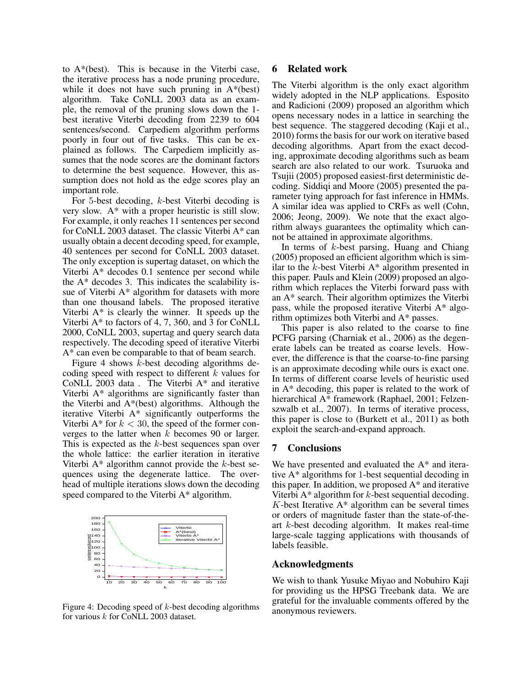to A\*(best). This is because in the Viterbi case, the iterative process has a node pruning procedure, while it does not have such pruning in  $A^*(best)$ algorithm. Take CoNLL 2003 data as an example, the removal of the pruning slows down the 1 best iterative Viterbi decoding from 2239 to 604 sentences/second. Carpediem algorithm performs poorly in four out of five tasks. This can be explained as follows. The Carpediem implicitly assumes that the node scores are the dominant factors to determine the best sequence. However, this assumption does not hold as the edge scores play an important role.

For 5-best decoding, k-best Viterbi decoding is very slow. A\* with a proper heuristic is still slow. For example, it only reaches 11 sentences per second for CoNLL 2003 dataset. The classic Viterbi A\* can usually obtain a decent decoding speed, for example, 40 sentences per second for CoNLL 2003 dataset. The only exception is supertag dataset, on which the Viterbi A\* decodes 0.1 sentence per second while the A\* decodes 3. This indicates the scalability issue of Viterbi A\* algorithm for datasets with more than one thousand labels. The proposed iterative Viterbi  $A^*$  is clearly the winner. It speeds up the Viterbi A\* to factors of 4, 7, 360, and 3 for CoNLL 2000, CoNLL 2003, supertag and query search data respectively. The decoding speed of iterative Viterbi A\* can even be comparable to that of beam search.

Figure 4 shows  $k$ -best decoding algorithms decoding speed with respect to different  $k$  values for CoNLL 2003 data . The Viterbi A\* and iterative Viterbi A\* algorithms are significantly faster than the Viterbi and A\*(best) algorithms. Although the iterative Viterbi A\* significantly outperforms the Viterbi A\* for  $k < 30$ , the speed of the former converges to the latter when  $k$  becomes 90 or larger. This is expected as the  $k$ -best sequences span over the whole lattice: the earlier iteration in iterative Viterbi  $A^*$  algorithm cannot provide the k-best sequences using the degenerate lattice. The overhead of multiple iterations slows down the decoding speed compared to the Viterbi A\* algorithm.



Figure 4: Decoding speed of  $k$ -best decoding algorithms for various k for CoNLL 2003 dataset.

### 6 Related work

The Viterbi algorithm is the only exact algorithm widely adopted in the NLP applications. Esposito and Radicioni (2009) proposed an algorithm which opens necessary nodes in a lattice in searching the best sequence. The staggered decoding (Kaji et al., 2010) forms the basis for our work on iterative based decoding algorithms. Apart from the exact decoding, approximate decoding algorithms such as beam search are also related to our work. Tsuruoka and Tsujii (2005) proposed easiest-first deterministic decoding. Siddiqi and Moore (2005) presented the parameter tying approach for fast inference in HMMs. A similar idea was applied to CRFs as well (Cohn, 2006; Jeong, 2009). We note that the exact algorithm always guarantees the optimality which cannot be attained in approximate algorithms.

In terms of k-best parsing, Huang and Chiang (2005) proposed an efficient algorithm which is similar to the  $k$ -best Viterbi  $A^*$  algorithm presented in this paper. Pauls and Klein (2009) proposed an algorithm which replaces the Viterbi forward pass with an A\* search. Their algorithm optimizes the Viterbi pass, while the proposed iterative Viterbi A\* algorithm optimizes both Viterbi and A\* passes.

This paper is also related to the coarse to fine PCFG parsing (Charniak et al., 2006) as the degenerate labels can be treated as coarse levels. However, the difference is that the coarse-to-fine parsing is an approximate decoding while ours is exact one. In terms of different coarse levels of heuristic used in A\* decoding, this paper is related to the work of hierarchical A\* framework (Raphael, 2001; Felzenszwalb et al., 2007). In terms of iterative process, this paper is close to (Burkett et al., 2011) as both exploit the search-and-expand approach.

#### 7 Conclusions

We have presented and evaluated the A<sup>\*</sup> and iterative A\* algorithms for 1-best sequential decoding in this paper. In addition, we proposed  $A^*$  and iterative Viterbi  $A^*$  algorithm for k-best sequential decoding.  $K$ -best Iterative  $A^*$  algorithm can be several times or orders of magnitude faster than the state-of-theart k-best decoding algorithm. It makes real-time large-scale tagging applications with thousands of labels feasible.

#### Acknowledgments

We wish to thank Yusuke Miyao and Nobuhiro Kaji for providing us the HPSG Treebank data. We are grateful for the invaluable comments offered by the anonymous reviewers.